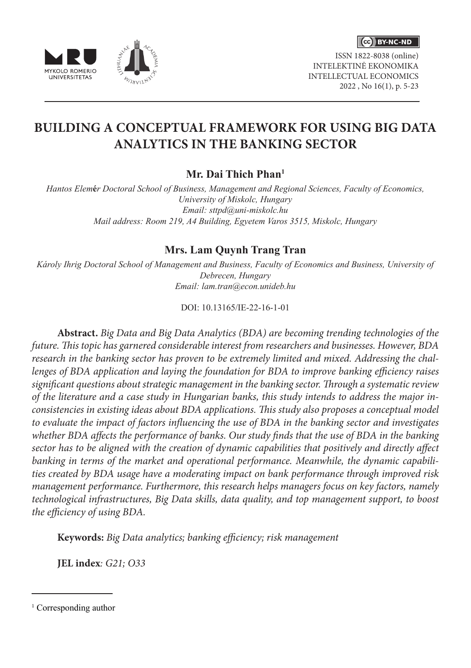

ISSN 1822-8038 (online) INTELEKTINĖ EKONOMIKA INTELLECTUAL ECONOMICS 2022 , No 16(1), p. 5-23



# **BUILDING A CONCEPTUAL FRAMEWORK FOR USING BIG DATA ANALYTICS IN THE BANKING SECTOR**

# **Mr. Dai Thich Phan1**

*Hantos Elem***é***r Doctoral School of Business, Management and Regional Sciences, Faculty of Economics, University of Miskolc, Hungary Email: sttpd@uni-miskolc.hu Mail address: Room 219, A4 Building, Egyetem Varos 3515, Miskolc, Hungary*

# **Mrs. Lam Quynh Trang Tran**

*Károly Ihrig Doctoral School of Management and Business, Faculty of Economics and Business, University of Debrecen, Hungary Email: lam.tran@econ.unideb.hu*

DOI: 10.13165/IE-22-16-1-01

**Abstract.** *Big Data and Big Data Analytics (BDA) are becoming trending technologies of the future. This topic has garnered considerable interest from researchers and businesses. However, BDA research in the banking sector has proven to be extremely limited and mixed. Addressing the challenges of BDA application and laying the foundation for BDA to improve banking efficiency raises significant questions about strategic management in the banking sector. Through a systematic review of the literature and a case study in Hungarian banks, this study intends to address the major inconsistencies in existing ideas about BDA applications. This study also proposes a conceptual model to evaluate the impact of factors influencing the use of BDA in the banking sector and investigates whether BDA affects the performance of banks. Our study finds that the use of BDA in the banking sector has to be aligned with the creation of dynamic capabilities that positively and directly affect banking in terms of the market and operational performance. Meanwhile, the dynamic capabilities created by BDA usage have a moderating impact on bank performance through improved risk management performance. Furthermore, this research helps managers focus on key factors, namely technological infrastructures, Big Data skills, data quality, and top management support, to boost the efficiency of using BDA.*

**Keywords:** *Big Data analytics; banking efficiency; risk management* 

**JEL index***: G21; O33*

<sup>&</sup>lt;sup>1</sup> Corresponding author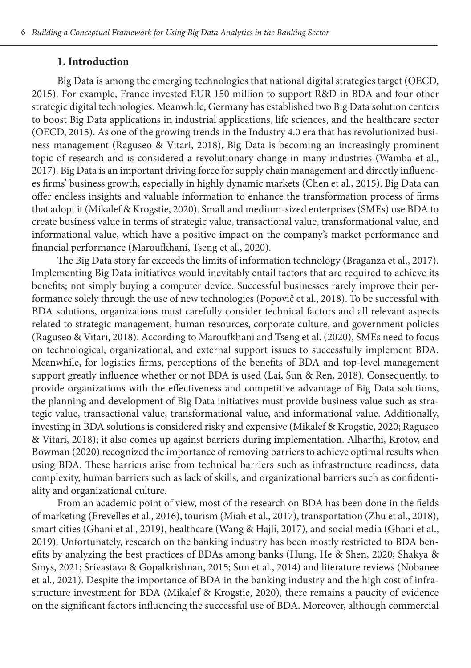#### **1. Introduction**

Big Data is among the emerging technologies that national digital strategies target (OECD, 2015). For example, France invested EUR 150 million to support R&D in BDA and four other strategic digital technologies. Meanwhile, Germany has established two Big Data solution centers to boost Big Data applications in industrial applications, life sciences, and the healthcare sector (OECD, 2015). As one of the growing trends in the Industry 4.0 era that has revolutionized business management (Raguseo & Vitari, 2018), Big Data is becoming an increasingly prominent topic of research and is considered a revolutionary change in many industries (Wamba et al., 2017). Big Data is an important driving force for supply chain management and directly influences firms' business growth, especially in highly dynamic markets (Chen et al., 2015). Big Data can offer endless insights and valuable information to enhance the transformation process of firms that adopt it (Mikalef & Krogstie, 2020). Small and medium-sized enterprises (SMEs) use BDA to create business value in terms of strategic value, transactional value, transformational value, and informational value, which have a positive impact on the company's market performance and financial performance (Maroufkhani, Tseng et al., 2020).

The Big Data story far exceeds the limits of information technology (Braganza et al., 2017). Implementing Big Data initiatives would inevitably entail factors that are required to achieve its benefits; not simply buying a computer device. Successful businesses rarely improve their performance solely through the use of new technologies (Popovič et al., 2018). To be successful with BDA solutions, organizations must carefully consider technical factors and all relevant aspects related to strategic management, human resources, corporate culture, and government policies (Raguseo & Vitari, 2018). According to Maroufkhani and Tseng et al. (2020), SMEs need to focus on technological, organizational, and external support issues to successfully implement BDA. Meanwhile, for logistics firms, perceptions of the benefits of BDA and top-level management support greatly influence whether or not BDA is used (Lai, Sun & Ren, 2018). Consequently, to provide organizations with the effectiveness and competitive advantage of Big Data solutions, the planning and development of Big Data initiatives must provide business value such as strategic value, transactional value, transformational value, and informational value. Additionally, investing in BDA solutions is considered risky and expensive (Mikalef & Krogstie, 2020; Raguseo & Vitari, 2018); it also comes up against barriers during implementation. Alharthi, Krotov, and Bowman (2020) recognized the importance of removing barriers to achieve optimal results when using BDA. These barriers arise from technical barriers such as infrastructure readiness, data complexity, human barriers such as lack of skills, and organizational barriers such as confidentiality and organizational culture.

From an academic point of view, most of the research on BDA has been done in the fields of marketing (Erevelles et al., 2016), tourism (Miah et al., 2017), transportation (Zhu et al., 2018), smart cities (Ghani et al., 2019), healthcare (Wang & Hajli, 2017), and social media (Ghani et al., 2019). Unfortunately, research on the banking industry has been mostly restricted to BDA benefits by analyzing the best practices of BDAs among banks (Hung, He & Shen, 2020; Shakya & Smys, 2021; Srivastava & Gopalkrishnan, 2015; Sun et al., 2014) and literature reviews (Nobanee et al., 2021). Despite the importance of BDA in the banking industry and the high cost of infrastructure investment for BDA (Mikalef & Krogstie, 2020), there remains a paucity of evidence on the significant factors influencing the successful use of BDA. Moreover, although commercial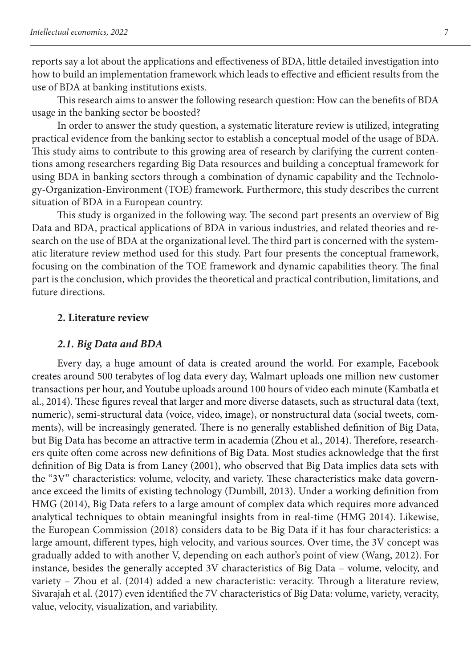reports say a lot about the applications and effectiveness of BDA, little detailed investigation into how to build an implementation framework which leads to effective and efficient results from the use of BDA at banking institutions exists.

This research aims to answer the following research question: How can the benefits of BDA usage in the banking sector be boosted?

In order to answer the study question, a systematic literature review is utilized, integrating practical evidence from the banking sector to establish a conceptual model of the usage of BDA. This study aims to contribute to this growing area of research by clarifying the current contentions among researchers regarding Big Data resources and building a conceptual framework for using BDA in banking sectors through a combination of dynamic capability and the Technology-Organization-Environment (TOE) framework. Furthermore, this study describes the current situation of BDA in a European country.

This study is organized in the following way. The second part presents an overview of Big Data and BDA, practical applications of BDA in various industries, and related theories and research on the use of BDA at the organizational level. The third part is concerned with the systematic literature review method used for this study. Part four presents the conceptual framework, focusing on the combination of the TOE framework and dynamic capabilities theory. The final part is the conclusion, which provides the theoretical and practical contribution, limitations, and future directions.

#### **2. Literature review**

#### *2.1. Big Data and BDA*

Every day, a huge amount of data is created around the world. For example, Facebook creates around 500 terabytes of log data every day, Walmart uploads one million new customer transactions per hour, and Youtube uploads around 100 hours of video each minute (Kambatla et al., 2014). These figures reveal that larger and more diverse datasets, such as structural data (text, numeric), semi-structural data (voice, video, image), or nonstructural data (social tweets, comments), will be increasingly generated. There is no generally established definition of Big Data, but Big Data has become an attractive term in academia (Zhou et al., 2014). Therefore, researchers quite often come across new definitions of Big Data. Most studies acknowledge that the first definition of Big Data is from Laney (2001), who observed that Big Data implies data sets with the "3V" characteristics: volume, velocity, and variety. These characteristics make data governance exceed the limits of existing technology (Dumbill, 2013). Under a working definition from HMG (2014), Big Data refers to a large amount of complex data which requires more advanced analytical techniques to obtain meaningful insights from in real-time (HMG 2014). Likewise, the European Commission (2018) considers data to be Big Data if it has four characteristics: a large amount, different types, high velocity, and various sources. Over time, the 3V concept was gradually added to with another V, depending on each author's point of view (Wang, 2012). For instance, besides the generally accepted 3V characteristics of Big Data – volume, velocity, and variety – Zhou et al. (2014) added a new characteristic: veracity. Through a literature review, Sivarajah et al. (2017) even identified the 7V characteristics of Big Data: volume, variety, veracity, value, velocity, visualization, and variability.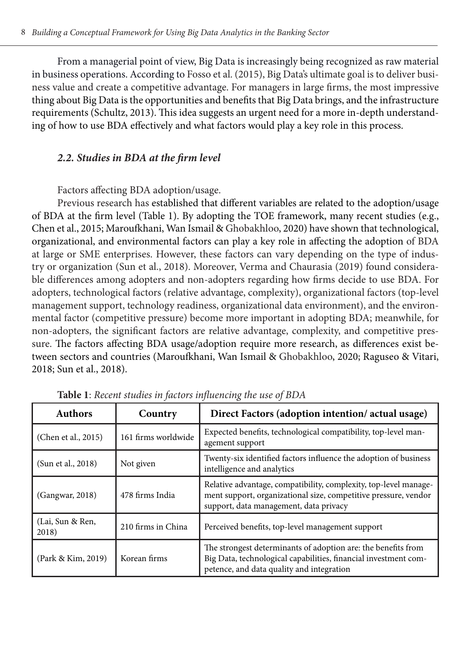From a managerial point of view, Big Data is increasingly being recognized as raw material in business operations. According to Fosso et al. (2015), Big Data's ultimate goal is to deliver business value and create a competitive advantage. For managers in large firms, the most impressive thing about Big Data is the opportunities and benefits that Big Data brings, and the infrastructure requirements (Schultz, 2013). This idea suggests an urgent need for a more in-depth understanding of how to use BDA effectively and what factors would play a key role in this process.

# *2.2. Studies in BDA at the firm level*

Factors affecting BDA adoption/usage.

Previous research has established that different variables are related to the adoption/usage of BDA at the firm level (Table 1). By adopting the TOE framework, many recent studies (e.g., Chen et al., 2015; Maroufkhani, Wan Ismail & Ghobakhloo, 2020) have shown that technological, organizational, and environmental factors can play a key role in affecting the adoption of BDA at large or SME enterprises. However, these factors can vary depending on the type of industry or organization (Sun et al., 2018). Moreover, Verma and Chaurasia (2019) found considerable differences among adopters and non-adopters regarding how firms decide to use BDA. For adopters, technological factors (relative advantage, complexity), organizational factors (top-level management support, technology readiness, organizational data environment), and the environmental factor (competitive pressure) become more important in adopting BDA; meanwhile, for non-adopters, the significant factors are relative advantage, complexity, and competitive pressure. The factors affecting BDA usage/adoption require more research, as differences exist between sectors and countries (Maroufkhani, Wan Ismail & Ghobakhloo, 2020; Raguseo & Vitari, 2018; Sun et al., 2018).

| <b>Authors</b>            | Country             | Direct Factors (adoption intention/actual usage)                                                                                                                              |
|---------------------------|---------------------|-------------------------------------------------------------------------------------------------------------------------------------------------------------------------------|
| (Chen et al., 2015)       | 161 firms worldwide | Expected benefits, technological compatibility, top-level man-<br>agement support                                                                                             |
| (Sun et al., 2018)        | Not given           | Twenty-six identified factors influence the adoption of business<br>intelligence and analytics                                                                                |
| (Gangwar, 2018)           | 478 firms India     | Relative advantage, compatibility, complexity, top-level manage-<br>ment support, organizational size, competitive pressure, vendor<br>support, data management, data privacy |
| (Lai, Sun & Ren,<br>2018) | 210 firms in China  | Perceived benefits, top-level management support                                                                                                                              |
| (Park & Kim, 2019)        | Korean firms        | The strongest determinants of adoption are: the benefits from<br>Big Data, technological capabilities, financial investment com-<br>petence, and data quality and integration |

**Table 1**: *Recent studies in factors influencing the use of BDA*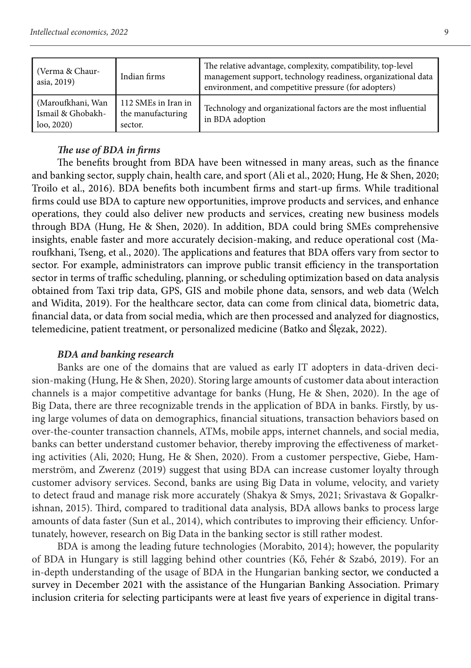| (Verma & Chaur-<br>asia, 2019)                        | Indian firms                                        | The relative advantage, complexity, compatibility, top-level<br>management support, technology readiness, organizational data<br>environment, and competitive pressure (for adopters) |
|-------------------------------------------------------|-----------------------------------------------------|---------------------------------------------------------------------------------------------------------------------------------------------------------------------------------------|
| (Maroufkhani, Wan<br>Ismail & Ghobakh-<br>$\log 2020$ | 112 SMEs in Iran in<br>the manufacturing<br>sector. | Technology and organizational factors are the most influential<br>in BDA adoption                                                                                                     |

# *The use of BDA in firms*

The benefits brought from BDA have been witnessed in many areas, such as the finance and banking sector, supply chain, health care, and sport (Ali et al., 2020; Hung, He & Shen, 2020; Troilo et al., 2016). BDA benefits both incumbent firms and start-up firms. While traditional firms could use BDA to capture new opportunities, improve products and services, and enhance operations, they could also deliver new products and services, creating new business models through BDA (Hung, He & Shen, 2020). In addition, BDA could bring SMEs comprehensive insights, enable faster and more accurately decision-making, and reduce operational cost (Maroufkhani, Tseng, et al., 2020). The applications and features that BDA offers vary from sector to sector. For example, administrators can improve public transit efficiency in the transportation sector in terms of traffic scheduling, planning, or scheduling optimization based on data analysis obtained from Taxi trip data, GPS, GIS and mobile phone data, sensors, and web data (Welch and Widita, 2019). For the healthcare sector, data can come from clinical data, biometric data, financial data, or data from social media, which are then processed and analyzed for diagnostics, telemedicine, patient treatment, or personalized medicine (Batko and Ślęzak, 2022).

#### *BDA and banking research*

Banks are one of the domains that are valued as early IT adopters in data-driven decision-making (Hung, He & Shen, 2020). Storing large amounts of customer data about interaction channels is a major competitive advantage for banks (Hung, He & Shen, 2020). In the age of Big Data, there are three recognizable trends in the application of BDA in banks. Firstly, by using large volumes of data on demographics, financial situations, transaction behaviors based on over-the-counter transaction channels, ATMs, mobile apps, internet channels, and social media, banks can better understand customer behavior, thereby improving the effectiveness of marketing activities (Ali, 2020; Hung, He & Shen, 2020). From a customer perspective, Giebe, Hammerström, and Zwerenz (2019) suggest that using BDA can increase customer loyalty through customer advisory services. Second, banks are using Big Data in volume, velocity, and variety to detect fraud and manage risk more accurately (Shakya & Smys, 2021; Srivastava & Gopalkrishnan, 2015). Third, compared to traditional data analysis, BDA allows banks to process large amounts of data faster (Sun et al., 2014), which contributes to improving their efficiency. Unfortunately, however, research on Big Data in the banking sector is still rather modest.

BDA is among the leading future technologies (Morabito, 2014); however, the popularity of BDA in Hungary is still lagging behind other countries (Kő, Fehér & Szabó, 2019). For an in-depth understanding of the usage of BDA in the Hungarian banking sector, we conducted a survey in December 2021 with the assistance of the Hungarian Banking Association. Primary inclusion criteria for selecting participants were at least five years of experience in digital trans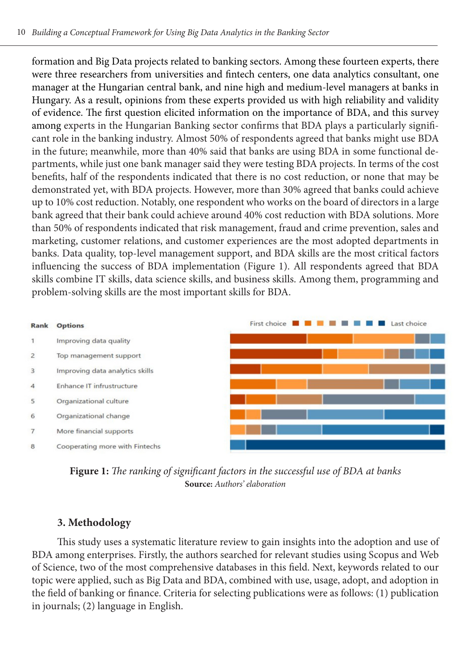formation and Big Data projects related to banking sectors. Among these fourteen experts, there were three researchers from universities and fintech centers, one data analytics consultant, one manager at the Hungarian central bank, and nine high and medium-level managers at banks in Hungary. As a result, opinions from these experts provided us with high reliability and validity of evidence. The first question elicited information on the importance of BDA, and this survey among experts in the Hungarian Banking sector confirms that BDA plays a particularly significant role in the banking industry. Almost 50% of respondents agreed that banks might use BDA in the future; meanwhile, more than 40% said that banks are using BDA in some functional departments, while just one bank manager said they were testing BDA projects. In terms of the cost benefits, half of the respondents indicated that there is no cost reduction, or none that may be demonstrated yet, with BDA projects. However, more than 30% agreed that banks could achieve up to 10% cost reduction. Notably, one respondent who works on the board of directors in a large bank agreed that their bank could achieve around 40% cost reduction with BDA solutions. More than 50% of respondents indicated that risk management, fraud and crime prevention, sales and marketing, customer relations, and customer experiences are the most adopted departments in banks. Data quality, top-level management support, and BDA skills are the most critical factors influencing the success of BDA implementation (Figure 1). All respondents agreed that BDA skills combine IT skills, data science skills, and business skills. Among them, programming and problem-solving skills are the most important skills for BDA.





# **3. Methodology**

This study uses a systematic literature review to gain insights into the adoption and use of BDA among enterprises. Firstly, the authors searched for relevant studies using Scopus and Web of Science, two of the most comprehensive databases in this field. Next, keywords related to our topic were applied, such as Big Data and BDA, combined with use, usage, adopt, and adoption in the field of banking or finance. Criteria for selecting publications were as follows: (1) publication in journals; (2) language in English.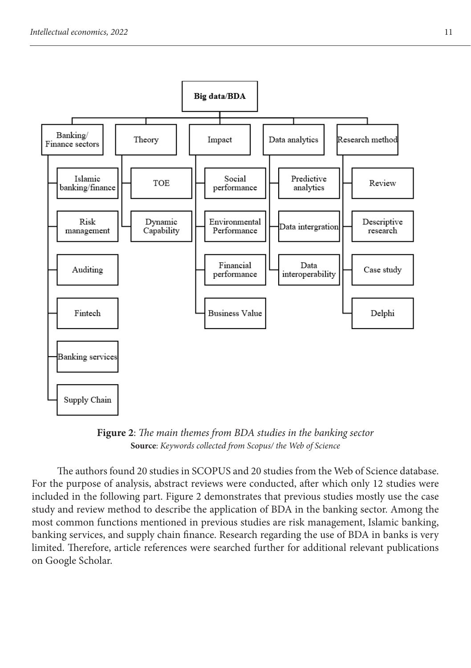

**Figure 2**: *The main themes from BDA studies in the banking sector* **Source**: *Keywords collected from Scopus/ the Web of Science*

The authors found 20 studies in SCOPUS and 20 studies from the Web of Science database. For the purpose of analysis, abstract reviews were conducted, after which only 12 studies were included in the following part. Figure 2 demonstrates that previous studies mostly use the case study and review method to describe the application of BDA in the banking sector. Among the most common functions mentioned in previous studies are risk management, Islamic banking, banking services, and supply chain finance. Research regarding the use of BDA in banks is very limited. Therefore, article references were searched further for additional relevant publications on Google Scholar.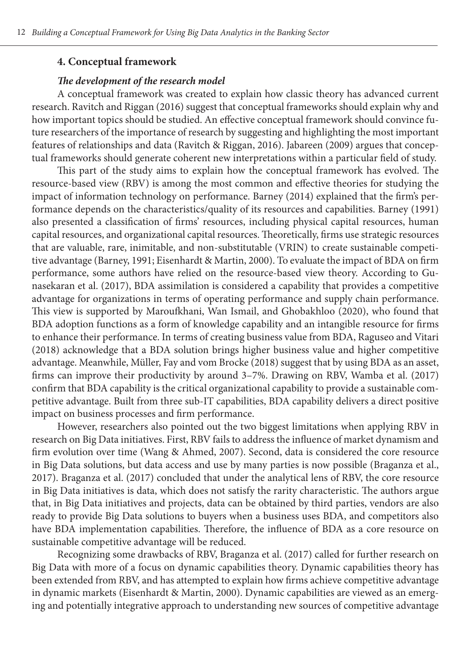#### **4. Conceptual framework**

## *The development of the research model*

A conceptual framework was created to explain how classic theory has advanced current research. Ravitch and Riggan (2016) suggest that conceptual frameworks should explain why and how important topics should be studied. An effective conceptual framework should convince future researchers of the importance of research by suggesting and highlighting the most important features of relationships and data (Ravitch & Riggan, 2016). Jabareen (2009) argues that conceptual frameworks should generate coherent new interpretations within a particular field of study.

This part of the study aims to explain how the conceptual framework has evolved. The resource-based view (RBV) is among the most common and effective theories for studying the impact of information technology on performance. Barney (2014) explained that the firm's performance depends on the characteristics/quality of its resources and capabilities. Barney (1991) also presented a classification of firms' resources, including physical capital resources, human capital resources, and organizational capital resources. Theoretically, firms use strategic resources that are valuable, rare, inimitable, and non-substitutable (VRIN) to create sustainable competitive advantage (Barney, 1991; Eisenhardt & Martin, 2000). To evaluate the impact of BDA on firm performance, some authors have relied on the resource-based view theory. According to Gunasekaran et al. (2017), BDA assimilation is considered a capability that provides a competitive advantage for organizations in terms of operating performance and supply chain performance. This view is supported by Maroufkhani, Wan Ismail, and Ghobakhloo (2020), who found that BDA adoption functions as a form of knowledge capability and an intangible resource for firms to enhance their performance. In terms of creating business value from BDA, Raguseo and Vitari (2018) acknowledge that a BDA solution brings higher business value and higher competitive advantage. Meanwhile, Müller, Fay and vom Brocke (2018) suggest that by using BDA as an asset, firms can improve their productivity by around 3–7%. Drawing on RBV, Wamba et al. (2017) confirm that BDA capability is the critical organizational capability to provide a sustainable competitive advantage. Built from three sub-IT capabilities, BDA capability delivers a direct positive impact on business processes and firm performance.

However, researchers also pointed out the two biggest limitations when applying RBV in research on Big Data initiatives. First, RBV fails to address the influence of market dynamism and firm evolution over time (Wang & Ahmed, 2007). Second, data is considered the core resource in Big Data solutions, but data access and use by many parties is now possible (Braganza et al., 2017). Braganza et al. (2017) concluded that under the analytical lens of RBV, the core resource in Big Data initiatives is data, which does not satisfy the rarity characteristic. The authors argue that, in Big Data initiatives and projects, data can be obtained by third parties, vendors are also ready to provide Big Data solutions to buyers when a business uses BDA, and competitors also have BDA implementation capabilities. Therefore, the influence of BDA as a core resource on sustainable competitive advantage will be reduced.

Recognizing some drawbacks of RBV, Braganza et al. (2017) called for further research on Big Data with more of a focus on dynamic capabilities theory. Dynamic capabilities theory has been extended from RBV, and has attempted to explain how firms achieve competitive advantage in dynamic markets (Eisenhardt & Martin, 2000). Dynamic capabilities are viewed as an emerging and potentially integrative approach to understanding new sources of competitive advantage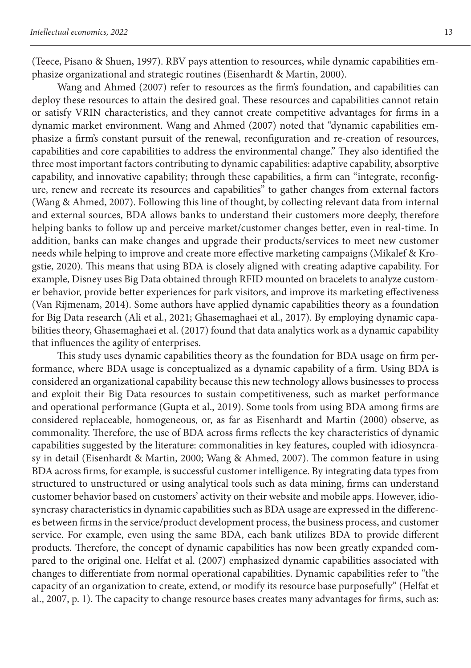(Teece, Pisano & Shuen, 1997). RBV pays attention to resources, while dynamic capabilities emphasize organizational and strategic routines (Eisenhardt & Martin, 2000).

Wang and Ahmed (2007) refer to resources as the firm's foundation, and capabilities can deploy these resources to attain the desired goal. These resources and capabilities cannot retain or satisfy VRIN characteristics, and they cannot create competitive advantages for firms in a dynamic market environment. Wang and Ahmed (2007) noted that "dynamic capabilities emphasize a firm's constant pursuit of the renewal, reconfiguration and re-creation of resources, capabilities and core capabilities to address the environmental change." They also identified the three most important factors contributing to dynamic capabilities: adaptive capability, absorptive capability, and innovative capability; through these capabilities, a firm can "integrate, reconfigure, renew and recreate its resources and capabilities" to gather changes from external factors (Wang & Ahmed, 2007). Following this line of thought, by collecting relevant data from internal and external sources, BDA allows banks to understand their customers more deeply, therefore helping banks to follow up and perceive market/customer changes better, even in real-time. In addition, banks can make changes and upgrade their products/services to meet new customer needs while helping to improve and create more effective marketing campaigns (Mikalef & Krogstie, 2020). This means that using BDA is closely aligned with creating adaptive capability. For example, Disney uses Big Data obtained through RFID mounted on bracelets to analyze customer behavior, provide better experiences for park visitors, and improve its marketing effectiveness (Van Rijmenam, 2014). Some authors have applied dynamic capabilities theory as a foundation for Big Data research (Ali et al., 2021; Ghasemaghaei et al., 2017). By employing dynamic capabilities theory, Ghasemaghaei et al. (2017) found that data analytics work as a dynamic capability that influences the agility of enterprises.

This study uses dynamic capabilities theory as the foundation for BDA usage on firm performance, where BDA usage is conceptualized as a dynamic capability of a firm. Using BDA is considered an organizational capability because this new technology allows businesses to process and exploit their Big Data resources to sustain competitiveness, such as market performance and operational performance (Gupta et al., 2019). Some tools from using BDA among firms are considered replaceable, homogeneous, or, as far as Eisenhardt and Martin (2000) observe, as commonality. Therefore, the use of BDA across firms reflects the key characteristics of dynamic capabilities suggested by the literature: commonalities in key features, coupled with idiosyncrasy in detail (Eisenhardt & Martin, 2000; Wang & Ahmed, 2007). The common feature in using BDA across firms, for example, is successful customer intelligence. By integrating data types from structured to unstructured or using analytical tools such as data mining, firms can understand customer behavior based on customers' activity on their website and mobile apps. However, idiosyncrasy characteristics in dynamic capabilities such as BDA usage are expressed in the differences between firms in the service/product development process, the business process, and customer service. For example, even using the same BDA, each bank utilizes BDA to provide different products. Therefore, the concept of dynamic capabilities has now been greatly expanded compared to the original one. Helfat et al. (2007) emphasized dynamic capabilities associated with changes to differentiate from normal operational capabilities. Dynamic capabilities refer to "the capacity of an organization to create, extend, or modify its resource base purposefully" (Helfat et al., 2007, p. 1). The capacity to change resource bases creates many advantages for firms, such as: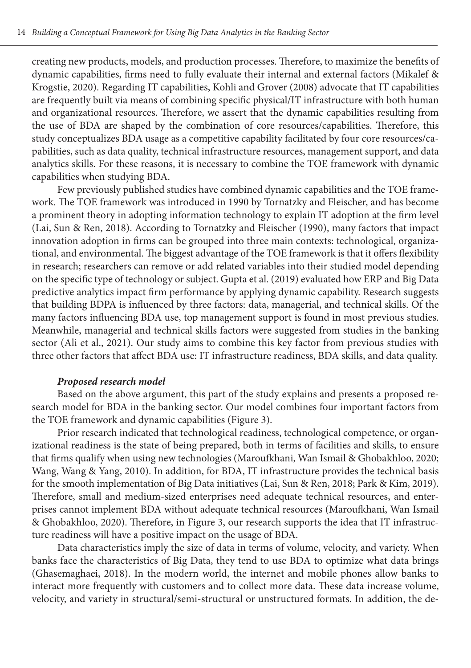creating new products, models, and production processes. Therefore, to maximize the benefits of dynamic capabilities, firms need to fully evaluate their internal and external factors (Mikalef & Krogstie, 2020). Regarding IT capabilities, Kohli and Grover (2008) advocate that IT capabilities are frequently built via means of combining specific physical/IT infrastructure with both human and organizational resources. Therefore, we assert that the dynamic capabilities resulting from the use of BDA are shaped by the combination of core resources/capabilities. Therefore, this study conceptualizes BDA usage as a competitive capability facilitated by four core resources/capabilities, such as data quality, technical infrastructure resources, management support, and data analytics skills. For these reasons, it is necessary to combine the TOE framework with dynamic capabilities when studying BDA.

Few previously published studies have combined dynamic capabilities and the TOE framework. The TOE framework was introduced in 1990 by Tornatzky and Fleischer, and has become a prominent theory in adopting information technology to explain IT adoption at the firm level (Lai, Sun & Ren, 2018). According to Tornatzky and Fleischer (1990), many factors that impact innovation adoption in firms can be grouped into three main contexts: technological, organizational, and environmental. The biggest advantage of the TOE framework is that it offers flexibility in research; researchers can remove or add related variables into their studied model depending on the specific type of technology or subject. Gupta et al. (2019) evaluated how ERP and Big Data predictive analytics impact firm performance by applying dynamic capability. Research suggests that building BDPA is influenced by three factors: data, managerial, and technical skills. Of the many factors influencing BDA use, top management support is found in most previous studies. Meanwhile, managerial and technical skills factors were suggested from studies in the banking sector (Ali et al., 2021). Our study aims to combine this key factor from previous studies with three other factors that affect BDA use: IT infrastructure readiness, BDA skills, and data quality.

#### *Proposed research model*

Based on the above argument, this part of the study explains and presents a proposed research model for BDA in the banking sector. Our model combines four important factors from the TOE framework and dynamic capabilities (Figure 3).

Prior research indicated that technological readiness, technological competence, or organizational readiness is the state of being prepared, both in terms of facilities and skills, to ensure that firms qualify when using new technologies (Maroufkhani, Wan Ismail & Ghobakhloo, 2020; Wang, Wang & Yang, 2010). In addition, for BDA, IT infrastructure provides the technical basis for the smooth implementation of Big Data initiatives (Lai, Sun & Ren, 2018; Park & Kim, 2019). Therefore, small and medium-sized enterprises need adequate technical resources, and enterprises cannot implement BDA without adequate technical resources (Maroufkhani, Wan Ismail & Ghobakhloo, 2020). Therefore, in Figure 3, our research supports the idea that IT infrastructure readiness will have a positive impact on the usage of BDA.

Data characteristics imply the size of data in terms of volume, velocity, and variety. When banks face the characteristics of Big Data, they tend to use BDA to optimize what data brings (Ghasemaghaei, 2018). In the modern world, the internet and mobile phones allow banks to interact more frequently with customers and to collect more data. These data increase volume, velocity, and variety in structural/semi-structural or unstructured formats. In addition, the de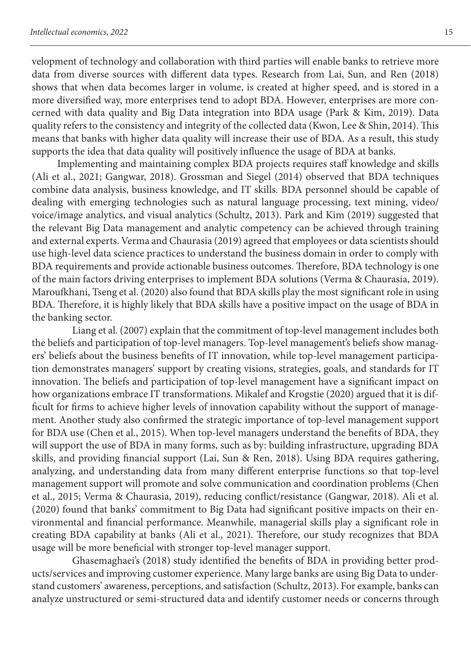velopment of technology and collaboration with third parties will enable banks to retrieve more data from diverse sources with different data types. Research from Lai, Sun, and Ren (2018) shows that when data becomes larger in volume, is created at higher speed, and is stored in a more diversified way, more enterprises tend to adopt BDA. However, enterprises are more concerned with data quality and Big Data integration into BDA usage (Park & Kim, 2019). Data quality refers to the consistency and integrity of the collected data (Kwon, Lee & Shin, 2014). This means that banks with higher data quality will increase their use of BDA. As a result, this study supports the idea that data quality will positively influence the usage of BDA at banks.

Implementing and maintaining complex BDA projects requires staff knowledge and skills (Ali et al., 2021; Gangwar, 2018). Grossman and Siegel (2014) observed that BDA techniques combine data analysis, business knowledge, and IT skills. BDA personnel should be capable of dealing with emerging technologies such as natural language processing, text mining, video/ voice/image analytics, and visual analytics (Schultz, 2013). Park and Kim (2019) suggested that the relevant Big Data management and analytic competency can be achieved through training and external experts. Verma and Chaurasia (2019) agreed that employees or data scientists should use high-level data science practices to understand the business domain in order to comply with BDA requirements and provide actionable business outcomes. Therefore, BDA technology is one of the main factors driving enterprises to implement BDA solutions (Verma & Chaurasia, 2019). Maroufkhani, Tseng et al. (2020) also found that BDA skills play the most significant role in using BDA. Therefore, it is highly likely that BDA skills have a positive impact on the usage of BDA in the banking sector.

Liang et al. (2007) explain that the commitment of top-level management includes both the beliefs and participation of top-level managers. Top-level management's beliefs show managers' beliefs about the business benefits of IT innovation, while top-level management participation demonstrates managers' support by creating visions, strategies, goals, and standards for IT innovation. The beliefs and participation of top-level management have a significant impact on how organizations embrace IT transformations. Mikalef and Krogstie (2020) argued that it is difficult for firms to achieve higher levels of innovation capability without the support of management. Another study also confirmed the strategic importance of top-level management support for BDA use (Chen et al., 2015). When top-level managers understand the benefits of BDA, they will support the use of BDA in many forms, such as by: building infrastructure, upgrading BDA skills, and providing financial support (Lai, Sun & Ren, 2018). Using BDA requires gathering, analyzing, and understanding data from many different enterprise functions so that top-level management support will promote and solve communication and coordination problems (Chen et al., 2015; Verma & Chaurasia, 2019), reducing conflict/resistance (Gangwar, 2018). Ali et al. (2020) found that banks' commitment to Big Data had significant positive impacts on their environmental and financial performance. Meanwhile, managerial skills play a significant role in creating BDA capability at banks (Ali et al., 2021). Therefore, our study recognizes that BDA usage will be more beneficial with stronger top-level manager support.

Ghasemaghaei's (2018) study identified the benefits of BDA in providing better products/services and improving customer experience. Many large banks are using Big Data to understand customers' awareness, perceptions, and satisfaction (Schultz, 2013). For example, banks can analyze unstructured or semi-structured data and identify customer needs or concerns through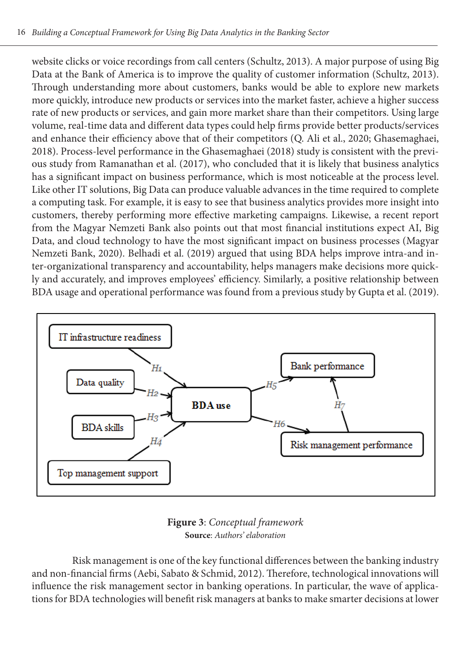website clicks or voice recordings from call centers (Schultz, 2013). A major purpose of using Big Data at the Bank of America is to improve the quality of customer information (Schultz, 2013). Through understanding more about customers, banks would be able to explore new markets more quickly, introduce new products or services into the market faster, achieve a higher success rate of new products or services, and gain more market share than their competitors. Using large volume, real-time data and different data types could help firms provide better products/services and enhance their efficiency above that of their competitors (Q. Ali et al., 2020; Ghasemaghaei, 2018). Process-level performance in the Ghasemaghaei (2018) study is consistent with the previous study from Ramanathan et al. (2017), who concluded that it is likely that business analytics has a significant impact on business performance, which is most noticeable at the process level. Like other IT solutions, Big Data can produce valuable advances in the time required to complete a computing task. For example, it is easy to see that business analytics provides more insight into customers, thereby performing more effective marketing campaigns. Likewise, a recent report from the Magyar Nemzeti Bank also points out that most financial institutions expect AI, Big Data, and cloud technology to have the most significant impact on business processes (Magyar Nemzeti Bank, 2020). Belhadi et al. (2019) argued that using BDA helps improve intra-and inter-organizational transparency and accountability, helps managers make decisions more quickly and accurately, and improves employees' efficiency. Similarly, a positive relationship between BDA usage and operational performance was found from a previous study by Gupta et al. (2019).



**Figure 3**: *Conceptual framework* **Source**: *Authors' elaboration*

Risk management is one of the key functional differences between the banking industry and non-financial firms (Aebi, Sabato & Schmid, 2012). Therefore, technological innovations will influence the risk management sector in banking operations. In particular, the wave of applications for BDA technologies will benefit risk managers at banks to make smarter decisions at lower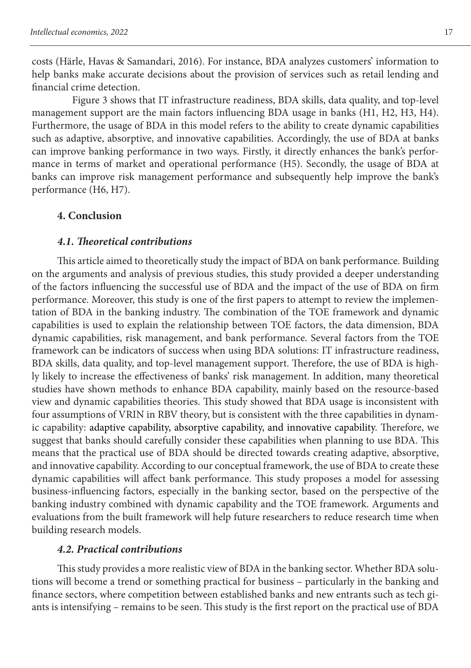costs (Härle, Havas & Samandari, 2016). For instance, BDA analyzes customers' information to help banks make accurate decisions about the provision of services such as retail lending and financial crime detection.

Figure 3 shows that IT infrastructure readiness, BDA skills, data quality, and top-level management support are the main factors influencing BDA usage in banks (H1, H2, H3, H4). Furthermore, the usage of BDA in this model refers to the ability to create dynamic capabilities such as adaptive, absorptive, and innovative capabilities. Accordingly, the use of BDA at banks can improve banking performance in two ways. Firstly, it directly enhances the bank's performance in terms of market and operational performance (H5). Secondly, the usage of BDA at banks can improve risk management performance and subsequently help improve the bank's performance (H6, H7).

### **4. Conclusion**

### *4.1. Theoretical contributions*

This article aimed to theoretically study the impact of BDA on bank performance. Building on the arguments and analysis of previous studies, this study provided a deeper understanding of the factors influencing the successful use of BDA and the impact of the use of BDA on firm performance. Moreover, this study is one of the first papers to attempt to review the implementation of BDA in the banking industry. The combination of the TOE framework and dynamic capabilities is used to explain the relationship between TOE factors, the data dimension, BDA dynamic capabilities, risk management, and bank performance. Several factors from the TOE framework can be indicators of success when using BDA solutions: IT infrastructure readiness, BDA skills, data quality, and top-level management support. Therefore, the use of BDA is highly likely to increase the effectiveness of banks' risk management. In addition, many theoretical studies have shown methods to enhance BDA capability, mainly based on the resource-based view and dynamic capabilities theories. This study showed that BDA usage is inconsistent with four assumptions of VRIN in RBV theory, but is consistent with the three capabilities in dynamic capability: adaptive capability, absorptive capability, and innovative capability. Therefore, we suggest that banks should carefully consider these capabilities when planning to use BDA. This means that the practical use of BDA should be directed towards creating adaptive, absorptive, and innovative capability. According to our conceptual framework, the use of BDA to create these dynamic capabilities will affect bank performance. This study proposes a model for assessing business-influencing factors, especially in the banking sector, based on the perspective of the banking industry combined with dynamic capability and the TOE framework. Arguments and evaluations from the built framework will help future researchers to reduce research time when building research models.

# *4.2. Practical contributions*

This study provides a more realistic view of BDA in the banking sector. Whether BDA solutions will become a trend or something practical for business – particularly in the banking and finance sectors, where competition between established banks and new entrants such as tech giants is intensifying – remains to be seen. This study is the first report on the practical use of BDA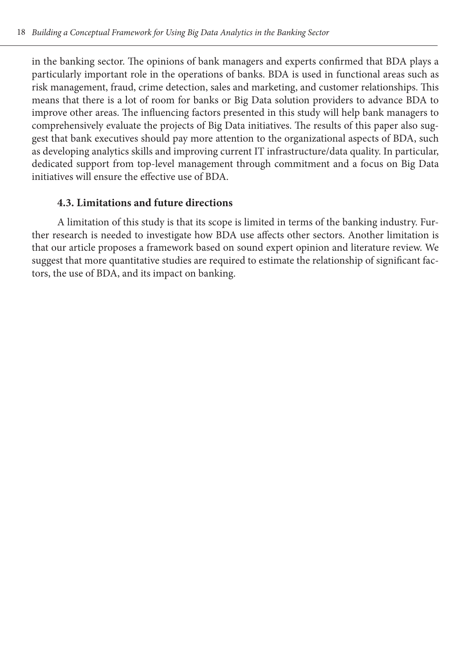in the banking sector. The opinions of bank managers and experts confirmed that BDA plays a particularly important role in the operations of banks. BDA is used in functional areas such as risk management, fraud, crime detection, sales and marketing, and customer relationships. This means that there is a lot of room for banks or Big Data solution providers to advance BDA to improve other areas. The influencing factors presented in this study will help bank managers to comprehensively evaluate the projects of Big Data initiatives. The results of this paper also suggest that bank executives should pay more attention to the organizational aspects of BDA, such as developing analytics skills and improving current IT infrastructure/data quality. In particular, dedicated support from top-level management through commitment and a focus on Big Data initiatives will ensure the effective use of BDA.

# **4.3. Limitations and future directions**

A limitation of this study is that its scope is limited in terms of the banking industry. Further research is needed to investigate how BDA use affects other sectors. Another limitation is that our article proposes a framework based on sound expert opinion and literature review. We suggest that more quantitative studies are required to estimate the relationship of significant factors, the use of BDA, and its impact on banking.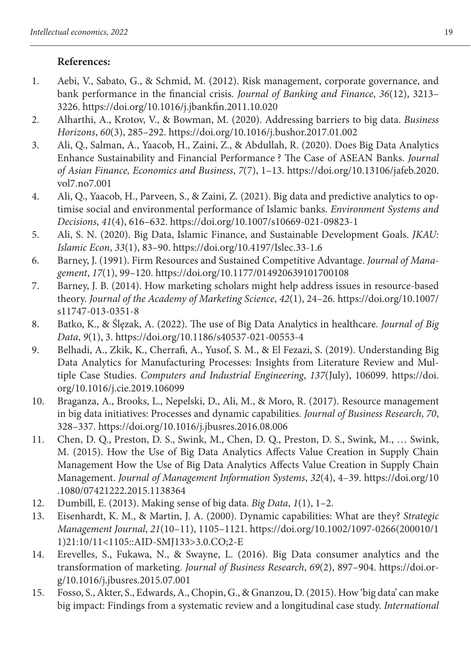# **References:**

- 1. Aebi, V., Sabato, G., & Schmid, M. (2012). Risk management, corporate governance, and bank performance in the financial crisis. *Journal of Banking and Finance*, *36*(12), 3213– 3226. https://doi.org/10.1016/j.jbankfin.2011.10.020
- 2. Alharthi, A., Krotov, V., & Bowman, M. (2020). Addressing barriers to big data. *Business Horizons*, *60*(3), 285–292. https://doi.org/10.1016/j.bushor.2017.01.002
- 3. Ali, Q., Salman, A., Yaacob, H., Zaini, Z., & Abdullah, R. (2020). Does Big Data Analytics Enhance Sustainability and Financial Performance ? The Case of ASEAN Banks. *Journal of Asian Finance, Economics and Business*, *7*(7), 1–13. https://doi.org/10.13106/jafeb.2020. vol7.no7.001
- 4. Ali, Q., Yaacob, H., Parveen, S., & Zaini, Z. (2021). Big data and predictive analytics to optimise social and environmental performance of Islamic banks. *Environment Systems and Decisions*, *41*(4), 616–632. https://doi.org/10.1007/s10669-021-09823-1
- 5. Ali, S. N. (2020). Big Data, Islamic Finance, and Sustainable Development Goals. *JKAU: Islamic Econ*, *33*(1), 83–90. https://doi.org/10.4197/Islec.33-1.6
- 6. Barney, J. (1991). Firm Resources and Sustained Competitive Advantage. *Journal of Management*, *17*(1), 99–120. https://doi.org/10.1177/014920639101700108
- 7. Barney, J. B. (2014). How marketing scholars might help address issues in resource-based theory. *Journal of the Academy of Marketing Science*, *42*(1), 24–26. https://doi.org/10.1007/ s11747-013-0351-8
- 8. Batko, K., & Ślęzak, A. (2022). The use of Big Data Analytics in healthcare. *Journal of Big Data*, *9*(1), 3. https://doi.org/10.1186/s40537-021-00553-4
- 9. Belhadi, A., Zkik, K., Cherrafi, A., Yusof, S. M., & El Fezazi, S. (2019). Understanding Big Data Analytics for Manufacturing Processes: Insights from Literature Review and Multiple Case Studies. *Computers and Industrial Engineering*, *137*(July), 106099. https://doi. org/10.1016/j.cie.2019.106099
- 10. Braganza, A., Brooks, L., Nepelski, D., Ali, M., & Moro, R. (2017). Resource management in big data initiatives: Processes and dynamic capabilities. *Journal of Business Research*, *70*, 328–337. https://doi.org/10.1016/j.jbusres.2016.08.006
- 11. Chen, D. Q., Preston, D. S., Swink, M., Chen, D. Q., Preston, D. S., Swink, M., … Swink, M. (2015). How the Use of Big Data Analytics Affects Value Creation in Supply Chain Management How the Use of Big Data Analytics Affects Value Creation in Supply Chain Management. *Journal of Management Information Systems*, *32*(4), 4–39. https://doi.org/10 .1080/07421222.2015.1138364
- 12. Dumbill, E. (2013). Making sense of big data. *Big Data*, *1*(1), 1–2.
- 13. Eisenhardt, K. M., & Martin, J. A. (2000). Dynamic capabilities: What are they? *Strategic Management Journal*, *21*(10–11), 1105–1121. https://doi.org/10.1002/1097-0266(200010/1 1)21:10/11<1105::AID-SMJ133>3.0.CO;2-E
- 14. Erevelles, S., Fukawa, N., & Swayne, L. (2016). Big Data consumer analytics and the transformation of marketing. *Journal of Business Research*, *69*(2), 897–904. https://doi.org/10.1016/j.jbusres.2015.07.001
- 15. Fosso, S., Akter, S., Edwards, A., Chopin, G., & Gnanzou, D. (2015). How 'big data' can make big impact: Findings from a systematic review and a longitudinal case study. *International*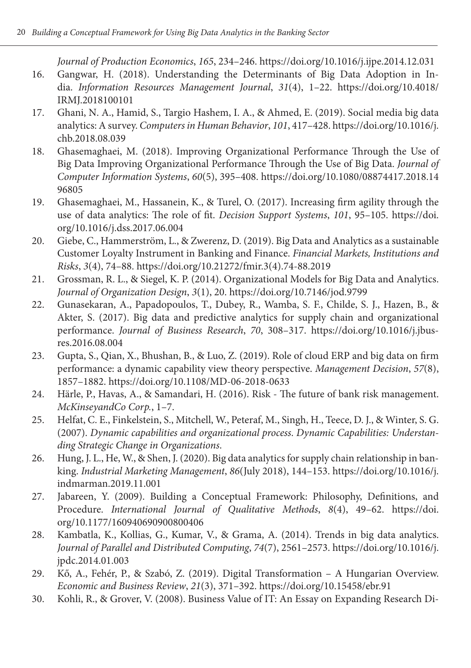*Journal of Production Economics*, *165*, 234–246. https://doi.org/10.1016/j.ijpe.2014.12.031

- 16. Gangwar, H. (2018). Understanding the Determinants of Big Data Adoption in India. *Information Resources Management Journal*, *31*(4), 1–22. https://doi.org/10.4018/ IRMJ.2018100101
- 17. Ghani, N. A., Hamid, S., Targio Hashem, I. A., & Ahmed, E. (2019). Social media big data analytics: A survey. *Computers in Human Behavior*, *101*, 417–428. https://doi.org/10.1016/j. chb.2018.08.039
- 18. Ghasemaghaei, M. (2018). Improving Organizational Performance Through the Use of Big Data Improving Organizational Performance Through the Use of Big Data. *Journal of Computer Information Systems*, *60*(5), 395–408. https://doi.org/10.1080/08874417.2018.14 96805
- 19. Ghasemaghaei, M., Hassanein, K., & Turel, O. (2017). Increasing firm agility through the use of data analytics: The role of fit. *Decision Support Systems*, *101*, 95–105. https://doi. org/10.1016/j.dss.2017.06.004
- 20. Giebe, C., Hammerström, L., & Zwerenz, D. (2019). Big Data and Analytics as a sustainable Customer Loyalty Instrument in Banking and Finance. *Financial Markets, Institutions and Risks*, *3*(4), 74–88. https://doi.org/10.21272/fmir.3(4).74-88.2019
- 21. Grossman, R. L., & Siegel, K. P. (2014). Organizational Models for Big Data and Analytics. *Journal of Organization Design*, *3*(1), 20. https://doi.org/10.7146/jod.9799
- 22. Gunasekaran, A., Papadopoulos, T., Dubey, R., Wamba, S. F., Childe, S. J., Hazen, B., & Akter, S. (2017). Big data and predictive analytics for supply chain and organizational performance. *Journal of Business Research*, *70*, 308–317. https://doi.org/10.1016/j.jbusres.2016.08.004
- 23. Gupta, S., Qian, X., Bhushan, B., & Luo, Z. (2019). Role of cloud ERP and big data on firm performance: a dynamic capability view theory perspective. *Management Decision*, *57*(8), 1857–1882. https://doi.org/10.1108/MD-06-2018-0633
- 24. Härle, P., Havas, A., & Samandari, H. (2016). Risk The future of bank risk management. *McKinseyandCo Corp.*, 1–7.
- 25. Helfat, C. E., Finkelstein, S., Mitchell, W., Peteraf, M., Singh, H., Teece, D. J., & Winter, S. G. (2007). *Dynamic capabilities and organizational process*. *Dynamic Capabilities: Understanding Strategic Change in Organizations*.
- 26. Hung, J. L., He, W., & Shen, J. (2020). Big data analytics for supply chain relationship in banking. *Industrial Marketing Management*, *86*(July 2018), 144–153. https://doi.org/10.1016/j. indmarman.2019.11.001
- 27. Jabareen, Y. (2009). Building a Conceptual Framework: Philosophy, Definitions, and Procedure. *International Journal of Qualitative Methods*, *8*(4), 49–62. https://doi. org/10.1177/160940690900800406
- 28. Kambatla, K., Kollias, G., Kumar, V., & Grama, A. (2014). Trends in big data analytics. *Journal of Parallel and Distributed Computing*, *74*(7), 2561–2573. https://doi.org/10.1016/j. jpdc.2014.01.003
- 29. Kő, A., Fehér, P., & Szabó, Z. (2019). Digital Transformation A Hungarian Overview. *Economic and Business Review*, *21*(3), 371–392. https://doi.org/10.15458/ebr.91
- 30. Kohli, R., & Grover, V. (2008). Business Value of IT: An Essay on Expanding Research Di-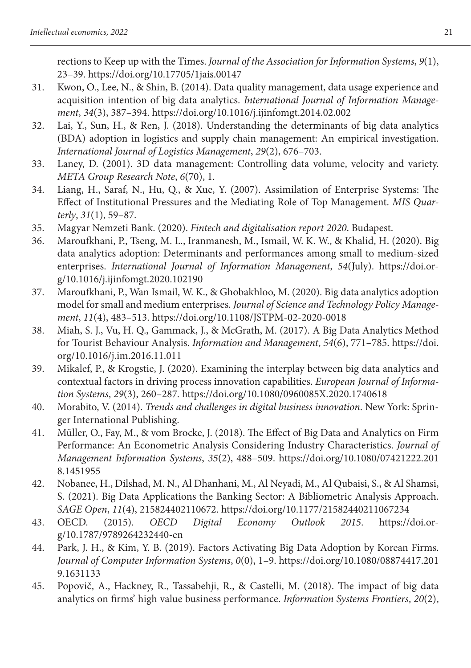rections to Keep up with the Times. *Journal of the Association for Information Systems*, *9*(1), 23–39. https://doi.org/10.17705/1jais.00147

- 31. Kwon, O., Lee, N., & Shin, B. (2014). Data quality management, data usage experience and acquisition intention of big data analytics. *International Journal of Information Management*, *34*(3), 387–394. https://doi.org/10.1016/j.ijinfomgt.2014.02.002
- 32. Lai, Y., Sun, H., & Ren, J. (2018). Understanding the determinants of big data analytics (BDA) adoption in logistics and supply chain management: An empirical investigation. *International Journal of Logistics Management*, *29*(2), 676–703.
- 33. Laney, D. (2001). 3D data management: Controlling data volume, velocity and variety. *META Group Research Note*, *6*(70), 1.
- 34. Liang, H., Saraf, N., Hu, Q., & Xue, Y. (2007). Assimilation of Enterprise Systems: The Effect of Institutional Pressures and the Mediating Role of Top Management. *MIS Quarterly*, *31*(1), 59–87.
- 35. Magyar Nemzeti Bank. (2020). *Fintech and digitalisation report 2020*. Budapest.
- 36. Maroufkhani, P., Tseng, M. L., Iranmanesh, M., Ismail, W. K. W., & Khalid, H. (2020). Big data analytics adoption: Determinants and performances among small to medium-sized enterprises. *International Journal of Information Management*, *54*(July). https://doi.org/10.1016/j.ijinfomgt.2020.102190
- 37. Maroufkhani, P., Wan Ismail, W. K., & Ghobakhloo, M. (2020). Big data analytics adoption model for small and medium enterprises. *Journal of Science and Technology Policy Management*, *11*(4), 483–513. https://doi.org/10.1108/JSTPM-02-2020-0018
- 38. Miah, S. J., Vu, H. Q., Gammack, J., & McGrath, M. (2017). A Big Data Analytics Method for Tourist Behaviour Analysis. *Information and Management*, *54*(6), 771–785. https://doi. org/10.1016/j.im.2016.11.011
- 39. Mikalef, P., & Krogstie, J. (2020). Examining the interplay between big data analytics and contextual factors in driving process innovation capabilities. *European Journal of Information Systems*, *29*(3), 260–287. https://doi.org/10.1080/0960085X.2020.1740618
- 40. Morabito, V. (2014). *Trends and challenges in digital business innovation*. New York: Springer International Publishing.
- 41. Müller, O., Fay, M., & vom Brocke, J. (2018). The Effect of Big Data and Analytics on Firm Performance: An Econometric Analysis Considering Industry Characteristics. *Journal of Management Information Systems*, *35*(2), 488–509. https://doi.org/10.1080/07421222.201 8.1451955
- 42. Nobanee, H., Dilshad, M. N., Al Dhanhani, M., Al Neyadi, M., Al Qubaisi, S., & Al Shamsi, S. (2021). Big Data Applications the Banking Sector: A Bibliometric Analysis Approach. *SAGE Open*, *11*(4), 215824402110672. https://doi.org/10.1177/21582440211067234
- 43. OECD. (2015). *OECD Digital Economy Outlook 2015*. https://doi.org/10.1787/9789264232440-en
- 44. Park, J. H., & Kim, Y. B. (2019). Factors Activating Big Data Adoption by Korean Firms. *Journal of Computer Information Systems*, *0*(0), 1–9. https://doi.org/10.1080/08874417.201 9.1631133
- 45. Popovič, A., Hackney, R., Tassabehji, R., & Castelli, M. (2018). The impact of big data analytics on firms' high value business performance. *Information Systems Frontiers*, *20*(2),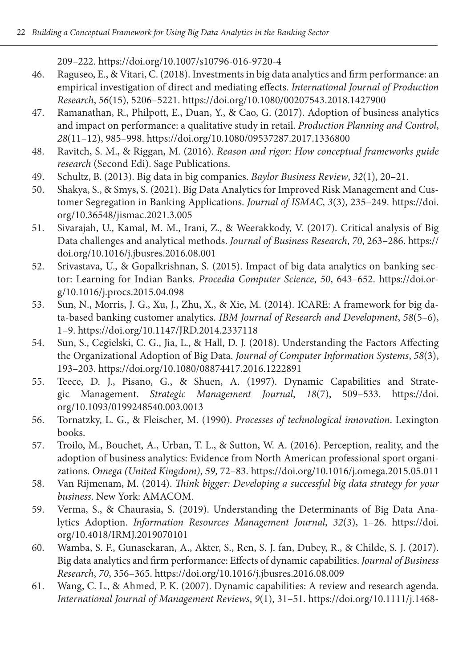209–222. https://doi.org/10.1007/s10796-016-9720-4

- 46. Raguseo, E., & Vitari, C. (2018). Investments in big data analytics and firm performance: an empirical investigation of direct and mediating effects. *International Journal of Production Research*, *56*(15), 5206–5221. https://doi.org/10.1080/00207543.2018.1427900
- 47. Ramanathan, R., Philpott, E., Duan, Y., & Cao, G. (2017). Adoption of business analytics and impact on performance: a qualitative study in retail. *Production Planning and Control*, *28*(11–12), 985–998. https://doi.org/10.1080/09537287.2017.1336800
- 48. Ravitch, S. M., & Riggan, M. (2016). *Reason and rigor: How conceptual frameworks guide research* (Second Edi). Sage Publications.
- 49. Schultz, B. (2013). Big data in big companies. *Baylor Business Review*, *32*(1), 20–21.
- 50. Shakya, S., & Smys, S. (2021). Big Data Analytics for Improved Risk Management and Customer Segregation in Banking Applications. *Journal of ISMAC*, *3*(3), 235–249. https://doi. org/10.36548/jismac.2021.3.005
- 51. Sivarajah, U., Kamal, M. M., Irani, Z., & Weerakkody, V. (2017). Critical analysis of Big Data challenges and analytical methods. *Journal of Business Research*, *70*, 263–286. https:// doi.org/10.1016/j.jbusres.2016.08.001
- 52. Srivastava, U., & Gopalkrishnan, S. (2015). Impact of big data analytics on banking sector: Learning for Indian Banks. *Procedia Computer Science*, *50*, 643–652. https://doi.org/10.1016/j.procs.2015.04.098
- 53. Sun, N., Morris, J. G., Xu, J., Zhu, X., & Xie, M. (2014). ICARE: A framework for big data-based banking customer analytics. *IBM Journal of Research and Development*, *58*(5–6), 1–9. https://doi.org/10.1147/JRD.2014.2337118
- 54. Sun, S., Cegielski, C. G., Jia, L., & Hall, D. J. (2018). Understanding the Factors Affecting the Organizational Adoption of Big Data. *Journal of Computer Information Systems*, *58*(3), 193–203. https://doi.org/10.1080/08874417.2016.1222891
- 55. Teece, D. J., Pisano, G., & Shuen, A. (1997). Dynamic Capabilities and Strategic Management. *Strategic Management Journal*, *18*(7), 509–533. https://doi. org/10.1093/0199248540.003.0013
- 56. Tornatzky, L. G., & Fleischer, M. (1990). *Processes of technological innovation*. Lexington books.
- 57. Troilo, M., Bouchet, A., Urban, T. L., & Sutton, W. A. (2016). Perception, reality, and the adoption of business analytics: Evidence from North American professional sport organizations. *Omega (United Kingdom)*, *59*, 72–83. https://doi.org/10.1016/j.omega.2015.05.011
- 58. Van Rijmenam, M. (2014). *Think bigger: Developing a successful big data strategy for your business*. New York: AMACOM.
- 59. Verma, S., & Chaurasia, S. (2019). Understanding the Determinants of Big Data Analytics Adoption. *Information Resources Management Journal*, *32*(3), 1–26. https://doi. org/10.4018/IRMJ.2019070101
- 60. Wamba, S. F., Gunasekaran, A., Akter, S., Ren, S. J. fan, Dubey, R., & Childe, S. J. (2017). Big data analytics and firm performance: Effects of dynamic capabilities. *Journal of Business Research*, *70*, 356–365. https://doi.org/10.1016/j.jbusres.2016.08.009
- 61. Wang, C. L., & Ahmed, P. K. (2007). Dynamic capabilities: A review and research agenda. *International Journal of Management Reviews*, *9*(1), 31–51. https://doi.org/10.1111/j.1468-